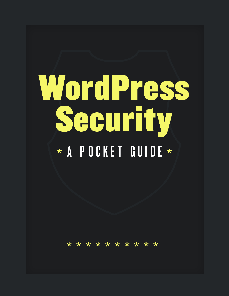# WordPress Security \* A POCKET GUIDE \*

\* \* \* \* \* \* \* \*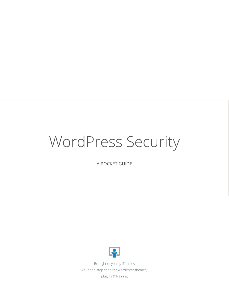### WordPress Security

A POCKET GUIDE



Brought to you by iThemes Your one-stop shop for WordPress themes, plugins & training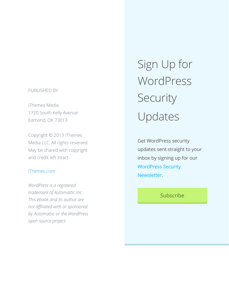#### PUBLISHED BY

iThemes Media 1720 South Kelly Avenue Edmond, OK 73013

Copyright © 2013 iThemes Media LLC. All rights reserved. May be shared with copyright and credit left intact.

#### iThemes.com

*WordPress is a registered trademark of Automattic Inc. This ebook and its author are not affiliated with or sponsored by Automattic or the WordPress open source project.*

Sign Up for WordPress Security Updates

Get WordPress security updates sent straight to your inbox by signing up for our [WordPress Security](http://ithemes.com/wordpress-security-updates/)  [Newsletter.](http://ithemes.com/wordpress-security-updates/)

#### Subscribe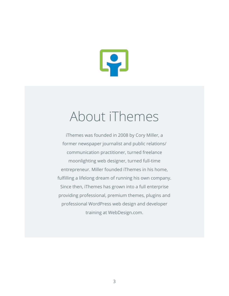

### About iThemes

iThemes was founded in 2008 by Cory Miller, a former newspaper journalist and public relations/ communication practitioner, turned freelance moonlighting web designer, turned full-time entrepreneur. Miller founded iThemes in his home, fulfilling a lifelong dream of running his own company. Since then, iThemes has grown into a full enterprise providing professional, premium themes, plugins and professional WordPress web design and developer training at WebDesign.com.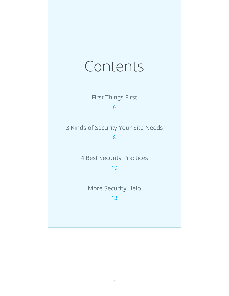### Contents

First Things First

[6](#page-6-0)

3 Kinds of Security Your Site Needs

[8](#page-8-0)

4 Best Security Practices

[10](#page-10-0)

More Security Help [13](#page-13-0)

4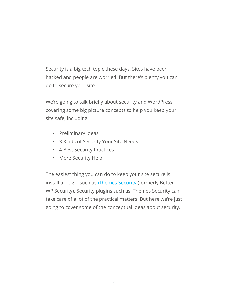Security is a big tech topic these days. Sites have been hacked and people are worried. But there's plenty you can do to secure your site.

We're going to talk briefly about security and WordPress, covering some big picture concepts to help you keep your site safe, including:

- Preliminary Ideas
- 3 Kinds of Security Your Site Needs
- 4 Best Security Practices
- More Security Help

The easiest thing you can do to keep your site secure is install a plugin such as [iThemes Security](http://wordpress.org/plugins/better-wp-security) (formerly Better WP Security). Security plugins such as iThemes Security can take care of a lot of the practical matters. But here we're just going to cover some of the conceptual ideas about security.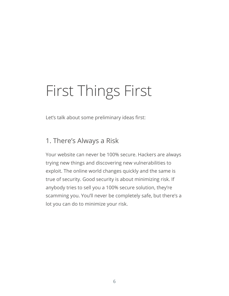## <span id="page-6-0"></span>First Things First

Let's talk about some preliminary ideas first:

#### 1. There's Always a Risk

Your website can never be 100% secure. Hackers are always trying new things and discovering new vulnerabilities to exploit. The online world changes quickly and the same is true of security. Good security is about minimizing risk. If anybody tries to sell you a 100% secure solution, they're scamming you. You'll never be completely safe, but there's a lot you can do to minimize your risk.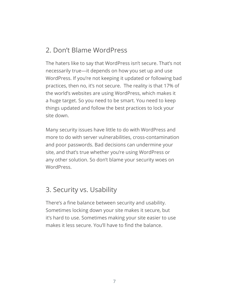#### 2. Don't Blame WordPress

The haters like to say that WordPress isn't secure. That's not necessarily true—it depends on how you set up and use WordPress. If you're not keeping it updated or following bad practices, then no, it's not secure. The reality is that 17% of the world's websites are using WordPress, which makes it a huge target. So you need to be smart. You need to keep things updated and follow the best practices to lock your site down.

Many security issues have little to do with WordPress and more to do with server vulnerabilities, cross-contamination and poor passwords. Bad decisions can undermine your site, and that's true whether you're using WordPress or any other solution. So don't blame your security woes on WordPress.

#### 3. Security vs. Usability

There's a fine balance between security and usability. Sometimes locking down your site makes it secure, but it's hard to use. Sometimes making your site easier to use makes it less secure. You'll have to find the balance.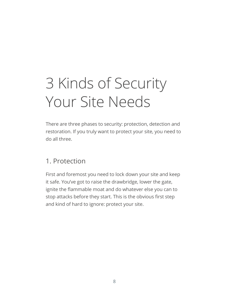# <span id="page-8-0"></span>3 Kinds of Security Your Site Needs

There are three phases to security: protection, detection and restoration. If you truly want to protect your site, you need to do all three.

#### 1. Protection

First and foremost you need to lock down your site and keep it safe. You've got to raise the drawbridge, lower the gate, ignite the flammable moat and do whatever else you can to stop attacks before they start. This is the obvious first step and kind of hard to ignore: protect your site.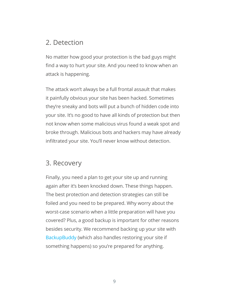#### 2. Detection

No matter how good your protection is the bad guys might find a way to hurt your site. And you need to know when an attack is happening.

The attack won't always be a full frontal assault that makes it painfully obvious your site has been hacked. Sometimes they're sneaky and bots will put a bunch of hidden code into your site. It's no good to have all kinds of protection but then not know when some malicious virus found a weak spot and broke through. Malicious bots and hackers may have already infiltrated your site. You'll never know without detection.

#### 3. Recovery

Finally, you need a plan to get your site up and running again after it's been knocked down. These things happen. The best protection and detection strategies can still be foiled and you need to be prepared. Why worry about the worst-case scenario when a little preparation will have you covered? Plus, a good backup is important for other reasons besides security. We recommend backing up your site with [BackupBuddy](http://ithemes.com/backupbuddy) (which also handles restoring your site if something happens) so you're prepared for anything.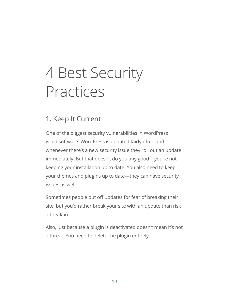### <span id="page-10-0"></span>4 Best Security Practices

#### 1. Keep It Current

One of the biggest security vulnerabilities in WordPress is old software. WordPress is updated fairly often and whenever there's a new security issue they roll out an update immediately. But that doesn't do you any good if you're not keeping your installation up to date. You also need to keep your themes and plugins up to date—they can have security issues as well.

Sometimes people put off updates for fear of breaking their site, but you'd rather break your site with an update than risk a break-in.

Also, just because a plugin is deactivated doesn't mean it's not a threat. You need to delete the plugin entirely.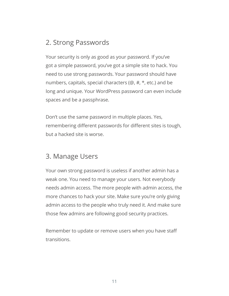#### 2. Strong Passwords

Your security is only as good as your password. If you've got a simple password, you've got a simple site to hack. You need to use strong passwords. Your password should have numbers, capitals, special characters (@, #, \*, etc.) and be long and unique. Your WordPress password can even include spaces and be a passphrase.

Don't use the same password in multiple places. Yes, remembering different passwords for different sites is tough, but a hacked site is worse.

#### 3. Manage Users

Your own strong password is useless if another admin has a weak one. You need to manage your users. Not everybody needs admin access. The more people with admin access, the more chances to hack your site. Make sure you're only giving admin access to the people who truly need it. And make sure those few admins are following good security practices.

Remember to update or remove users when you have staff transitions.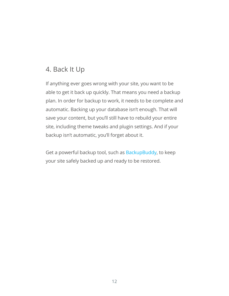#### 4. Back It Up

If anything ever goes wrong with your site, you want to be able to get it back up quickly. That means you need a backup plan. In order for backup to work, it needs to be complete and automatic. Backing up your database isn't enough. That will save your content, but you'll still have to rebuild your entire site, including theme tweaks and plugin settings. And if your backup isn't automatic, you'll forget about it.

Get a powerful backup tool, such as [BackupBuddy,](http://ithemes.com/backupbuddy) to keep your site safely backed up and ready to be restored.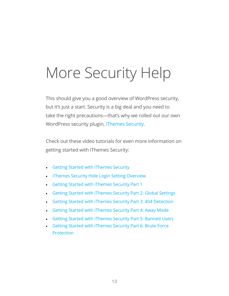### <span id="page-13-0"></span>More Security Help

This should give you a good overview of WordPress security, but it's just a start. Security is a big deal and you need to take the right precautions—that's why we rolled out our own WordPress security plugin, [iThemes Security](http://wordpress.org/plugins/better-wp-security).

Check out these video tutorials for even more information on getting started with iThemes Security:

- • [Getting Started with iThemes Security](https://ithemes.com/tutorials/getting-started-ithemes-security/)
- [iThemes Security Hide Login Setting Overview](https://ithemes.com/tutorials/ithemes-security-hide-login-setting-overview/)
- • [Getting Started with iThemes Security Part 1](https://ithemes.com/tutorials/getting-started-ithemes-security-part-1/)
- • [Getting Started with iThemes Security Part 2: Global Settings](https://ithemes.com/tutorials/getting-started-ithemes-security-part-2-global-settings/)
- • [Getting Started with iThemes Security Part 3: 404 Detection](https://ithemes.com/tutorials/getting-started-ithemes-security-part-3-404-detection/)
- • [Getting Started with iThemes Security Part 4: Away Mode](https://ithemes.com/tutorials/getting-started-ithemes-security-part-4-away-mode/)
- **[Getting Started with iThemes Security Part 5: Banned Users](https://ithemes.com/tutorials/getting-started-ithemes-security-part-5-banned-users/)**
- **Getting Started with iThemes Security Part 6: Brute Force [Protection](https://ithemes.com/tutorials/getting-started-ithemes-security-part-6-brute-force-protection/)**